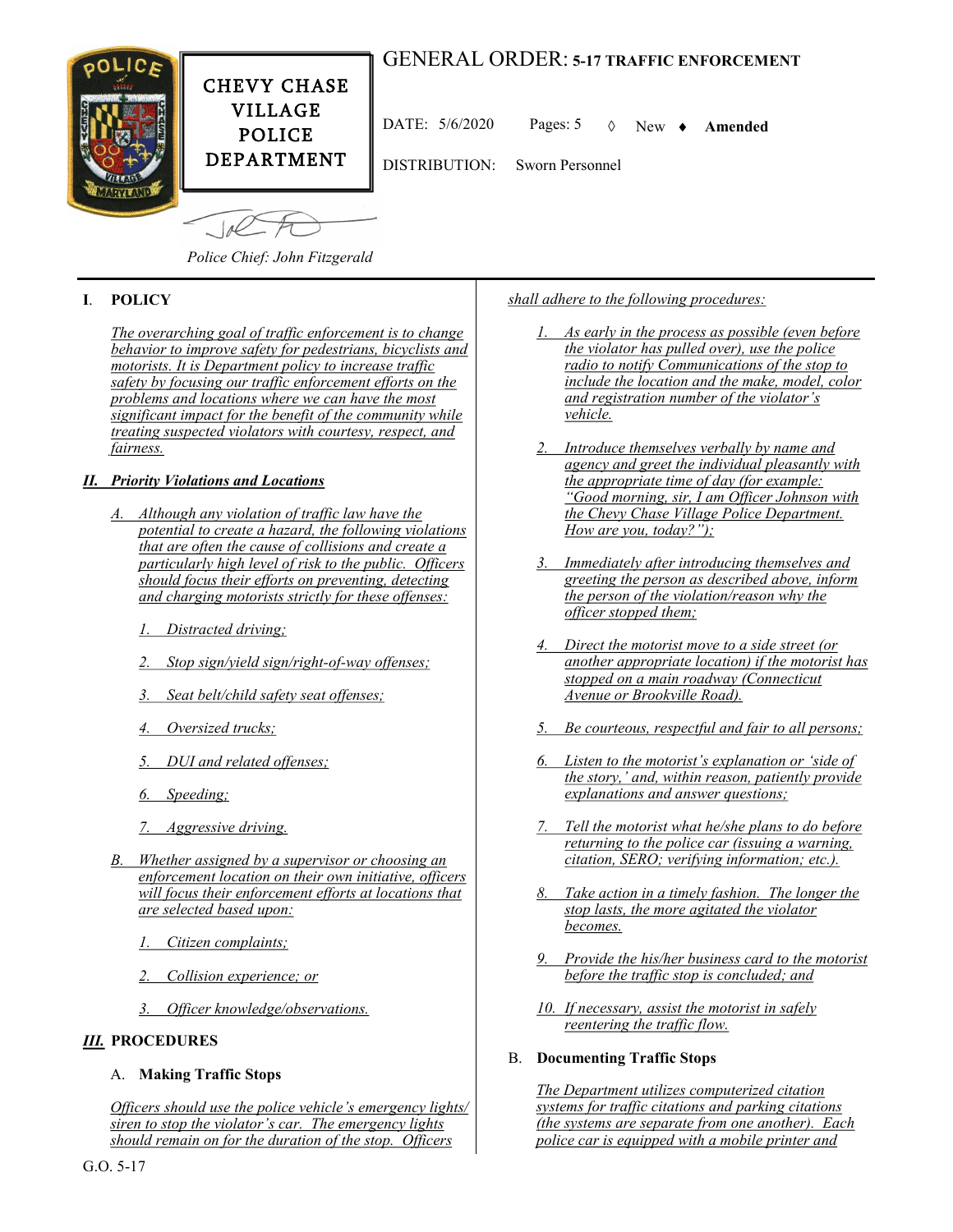# GENERAL ORDER: **5-17 TRAFFIC ENFORCEMENT**



DATE:  $5/6/2020$  Pages:  $5 \quad \lozenge$  New  $\blacklozenge$  **Amended** 

DISTRIBUTION: Sworn Personnel

 $\sqrt{10}$ 

*Police Chief: John Fitzgerald*

## **I**. **POLICY**

*The overarching goal of traffic enforcement is to change behavior to improve safety for pedestrians, bicyclists and motorists. It is Department policy to increase traffic safety by focusing our traffic enforcement efforts on the problems and locations where we can have the most significant impact for the benefit of the community while treating suspected violators with courtesy, respect, and fairness.*

## *II. Priority Violations and Locations*

- *A. Although any violation of traffic law have the potential to create a hazard, the following violations that are often the cause of collisions and create a particularly high level of risk to the public. Officers should focus their efforts on preventing, detecting and charging motorists strictly for these offenses:*
	- *1. Distracted driving;*
	- *2. Stop sign/yield sign/right-of-way offenses;*
	- *3. Seat belt/child safety seat offenses;*
	- *4. Oversized trucks;*
	- *5. DUI and related offenses;*
	- *6. Speeding;*
	- *7. Aggressive driving.*
- *B. Whether assigned by a supervisor or choosing an enforcement location on their own initiative, officers will focus their enforcement efforts at locations that are selected based upon:*
	- *1. Citizen complaints;*
	- *2. Collision experience; or*
	- *3. Officer knowledge/observations.*

## *III.* **PROCEDURES**

## A. **Making Traffic Stops**

*Officers should use the police vehicle's emergency lights/ siren to stop the violator's car. The emergency lights should remain on for the duration of the stop. Officers* 

*shall adhere to the following procedures:*

- *1. As early in the process as possible (even before the violator has pulled over), use the police radio to notify Communications of the stop to include the location and the make, model, color and registration number of the violator's vehicle.*
- *2. Introduce themselves verbally by name and agency and greet the individual pleasantly with the appropriate time of day (for example: "Good morning, sir, I am Officer Johnson with the Chevy Chase Village Police Department. How are you, today?");*
- *3. Immediately after introducing themselves and greeting the person as described above, inform the person of the violation/reason why the officer stopped them;*
- *4. Direct the motorist move to a side street (or another appropriate location) if the motorist has stopped on a main roadway (Connecticut Avenue or Brookville Road).*
- *5. Be courteous, respectful and fair to all persons;*
- *6. Listen to the motorist's explanation or 'side of the story,' and, within reason, patiently provide explanations and answer questions;*
- *7. Tell the motorist what he/she plans to do before returning to the police car (issuing a warning, citation, SERO; verifying information; etc.).*
- *8. Take action in a timely fashion. The longer the stop lasts, the more agitated the violator becomes.*
- *9. Provide the his/her business card to the motorist before the traffic stop is concluded; and*
- *10. If necessary, assist the motorist in safely reentering the traffic flow.*

#### B. **Documenting Traffic Stops**

*The Department utilizes computerized citation systems for traffic citations and parking citations (the systems are separate from one another). Each police car is equipped with a mobile printer and*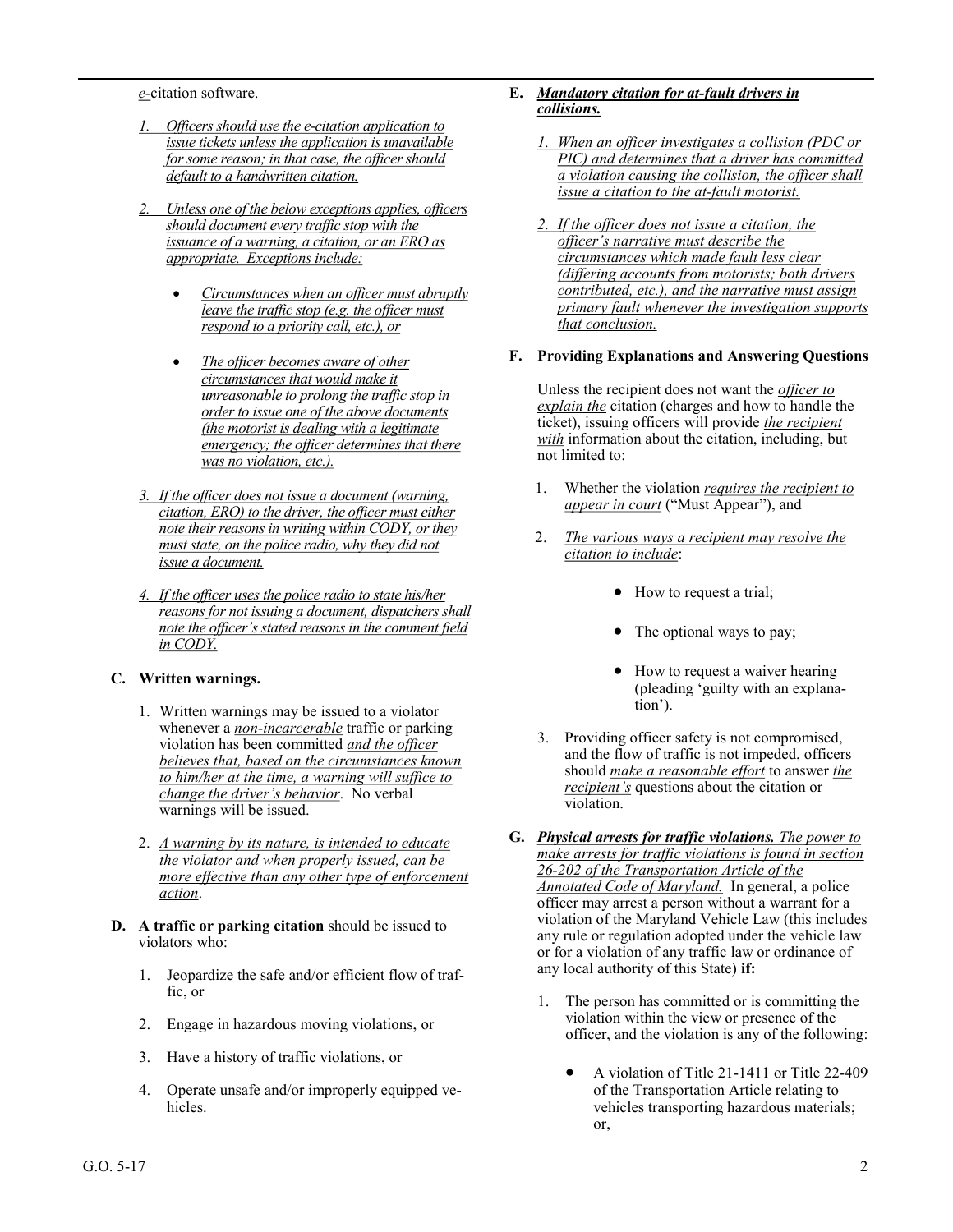*e-*citation software.

- *1. Officers should use the e-citation application to issue tickets unless the application is unavailable for some reason; in that case, the officer should default to a handwritten citation.*
- *2. Unless one of the below exceptions applies, officers should document every traffic stop with the issuance of a warning, a citation, or an ERO as appropriate. Exceptions include:*
	- *Circumstances when an officer must abruptly leave the traffic stop (e.g. the officer must respond to a priority call, etc.), or*
	- *The officer becomes aware of other circumstances that would make it unreasonable to prolong the traffic stop in order to issue one of the above documents (the motorist is dealing with a legitimate emergency; the officer determines that there was no violation, etc.).*
- *3. If the officer does not issue a document (warning, citation, ERO) to the driver, the officer must either note their reasons in writing within CODY, or they must state, on the police radio, why they did not issue a document.*
- *4. If the officer uses the police radio to state his/her reasons for not issuing a document, dispatchers shall note the officer's stated reasons in the comment field in CODY.*

#### **C. Written warnings.**

- 1. Written warnings may be issued to a violator whenever a *non-incarcerable* traffic or parking violation has been committed *and the officer believes that, based on the circumstances known to him/her at the time, a warning will suffice to change the driver's behavior*. No verbal warnings will be issued.
- 2. *A warning by its nature, is intended to educate the violator and when properly issued, can be more effective than any other type of enforcement action*.
- **D. A traffic or parking citation** should be issued to violators who:
	- 1. Jeopardize the safe and/or efficient flow of traffic, or
	- 2. Engage in hazardous moving violations, or
	- 3. Have a history of traffic violations, or
	- 4. Operate unsafe and/or improperly equipped vehicles.

### **E.** *Mandatory citation for at-fault drivers in collisions.*

- *1. When an officer investigates a collision (PDC or PIC) and determines that a driver has committed a violation causing the collision, the officer shall issue a citation to the at-fault motorist.*
- *2. If the officer does not issue a citation, the officer's narrative must describe the circumstances which made fault less clear (differing accounts from motorists; both drivers contributed, etc.), and the narrative must assign primary fault whenever the investigation supports that conclusion.*

#### **F. Providing Explanations and Answering Questions**

Unless the recipient does not want the *officer to explain the* citation (charges and how to handle the ticket), issuing officers will provide *the recipient with* information about the citation, including, but not limited to:

- 1. Whether the violation *requires the recipient to appear in court* ("Must Appear"), and
- 2. *The various ways a recipient may resolve the citation to include*:
	- How to request a trial;
	- The optional ways to pay;
	- How to request a waiver hearing (pleading 'guilty with an explanation').
- 3. Providing officer safety is not compromised, and the flow of traffic is not impeded, officers should *make a reasonable effort* to answer *the recipient's* questions about the citation or violation.
- **G.** *Physical arrests for traffic violations. The power to make arrests for traffic violations is found in section 26-202 of the Transportation Article of the Annotated Code of Maryland.* In general, a police officer may arrest a person without a warrant for a violation of the Maryland Vehicle Law (this includes any rule or regulation adopted under the vehicle law or for a violation of any traffic law or ordinance of any local authority of this State) **if:**
	- 1. The person has committed or is committing the violation within the view or presence of the officer, and the violation is any of the following:
		- A violation of Title 21-1411 or Title 22-409 of the Transportation Article relating to vehicles transporting hazardous materials; or,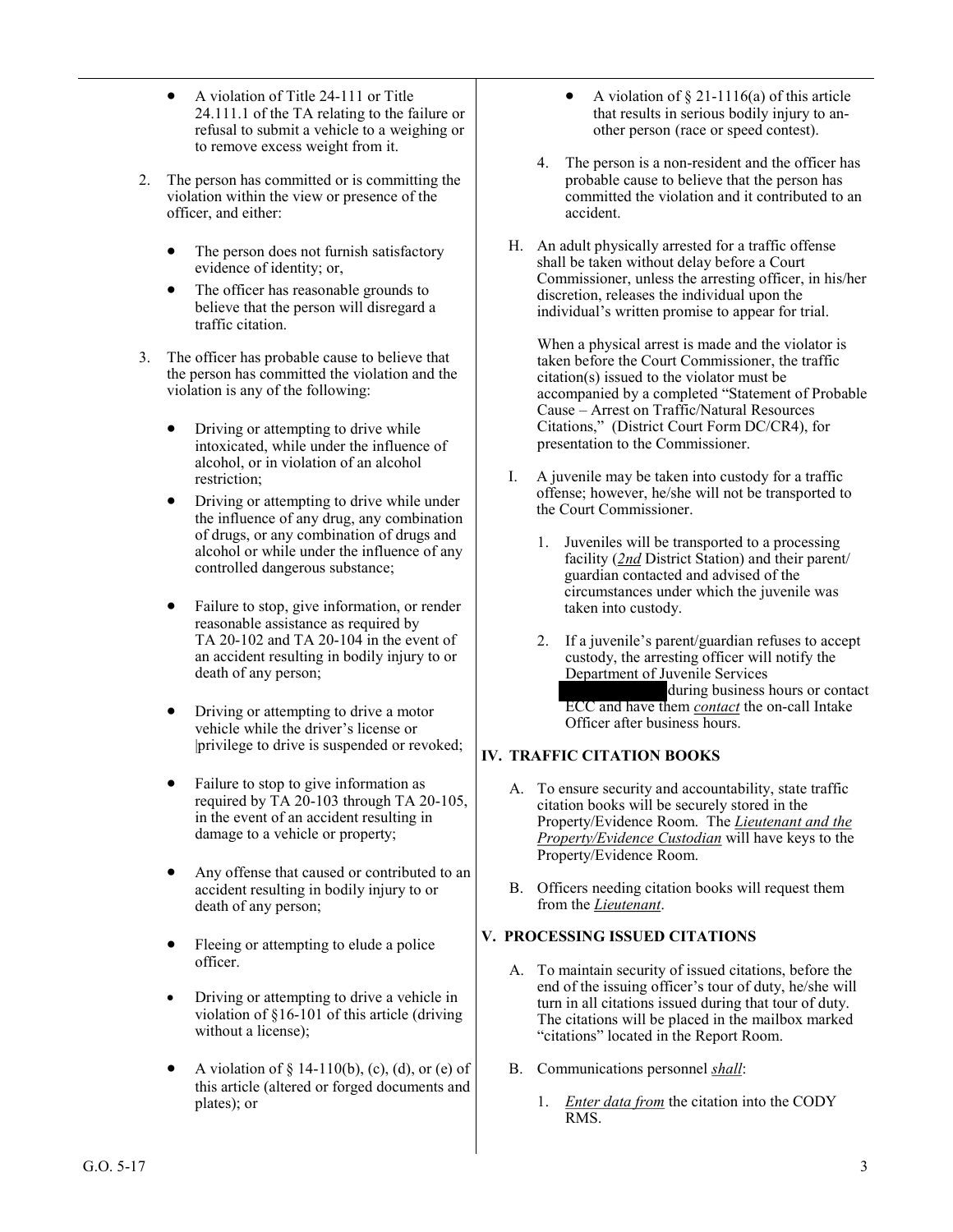- A violation of Title 24-111 or Title 24.111.1 of the TA relating to the failure or refusal to submit a vehicle to a weighing or to remove excess weight from it.
- 2. The person has committed or is committing the violation within the view or presence of the officer, and either:
	- The person does not furnish satisfactory evidence of identity; or,
	- The officer has reasonable grounds to believe that the person will disregard a traffic citation.
- 3. The officer has probable cause to believe that the person has committed the violation and the violation is any of the following:
	- Driving or attempting to drive while intoxicated, while under the influence of alcohol, or in violation of an alcohol restriction;
	- Driving or attempting to drive while under the influence of any drug, any combination of drugs, or any combination of drugs and alcohol or while under the influence of any controlled dangerous substance;
	- Failure to stop, give information, or render reasonable assistance as required by TA 20-102 and TA 20-104 in the event of an accident resulting in bodily injury to or death of any person;
	- Driving or attempting to drive a motor vehicle while the driver's license or |privilege to drive is suspended or revoked;
	- Failure to stop to give information as required by TA 20-103 through TA 20-105, in the event of an accident resulting in damage to a vehicle or property;
	- Any offense that caused or contributed to an accident resulting in bodily injury to or death of any person;
	- Fleeing or attempting to elude a police officer.
	- Driving or attempting to drive a vehicle in violation of §16-101 of this article (driving without a license);
	- A violation of  $\S$  14-110(b), (c), (d), or (e) of this article (altered or forged documents and plates); or
- A violation of  $\S 21-1116(a)$  of this article that results in serious bodily injury to another person (race or speed contest).
- 4. The person is a non-resident and the officer has probable cause to believe that the person has committed the violation and it contributed to an accident.
- H. An adult physically arrested for a traffic offense shall be taken without delay before a Court Commissioner, unless the arresting officer, in his/her discretion, releases the individual upon the individual's written promise to appear for trial.

When a physical arrest is made and the violator is taken before the Court Commissioner, the traffic citation(s) issued to the violator must be accompanied by a completed "Statement of Probable Cause – Arrest on Traffic/Natural Resources Citations," (District Court Form DC/CR4), for presentation to the Commissioner.

- I. A juvenile may be taken into custody for a traffic offense; however, he/she will not be transported to the Court Commissioner.
	- 1. Juveniles will be transported to a processing facility (*2nd* District Station) and their parent/ guardian contacted and advised of the circumstances under which the juvenile was taken into custody.
	- 2. If a juvenile's parent/guardian refuses to accept custody, the arresting officer will notify the Department of Juvenile Services (*301-610-8500*) during business hours or contact ECC and have them *contact* the on-call Intake Officer after business hours.

## **IV. TRAFFIC CITATION BOOKS**

- A. To ensure security and accountability, state traffic citation books will be securely stored in the Property/Evidence Room. The *Lieutenant and the Property/Evidence Custodian* will have keys to the Property/Evidence Room.
- B. Officers needing citation books will request them from the *Lieutenant*.

## **V. PROCESSING ISSUED CITATIONS**

- A. To maintain security of issued citations, before the end of the issuing officer's tour of duty, he/she will turn in all citations issued during that tour of duty. The citations will be placed in the mailbox marked "citations" located in the Report Room.
- B. Communications personnel *shall*:
	- 1. *Enter data from* the citation into the CODY RMS.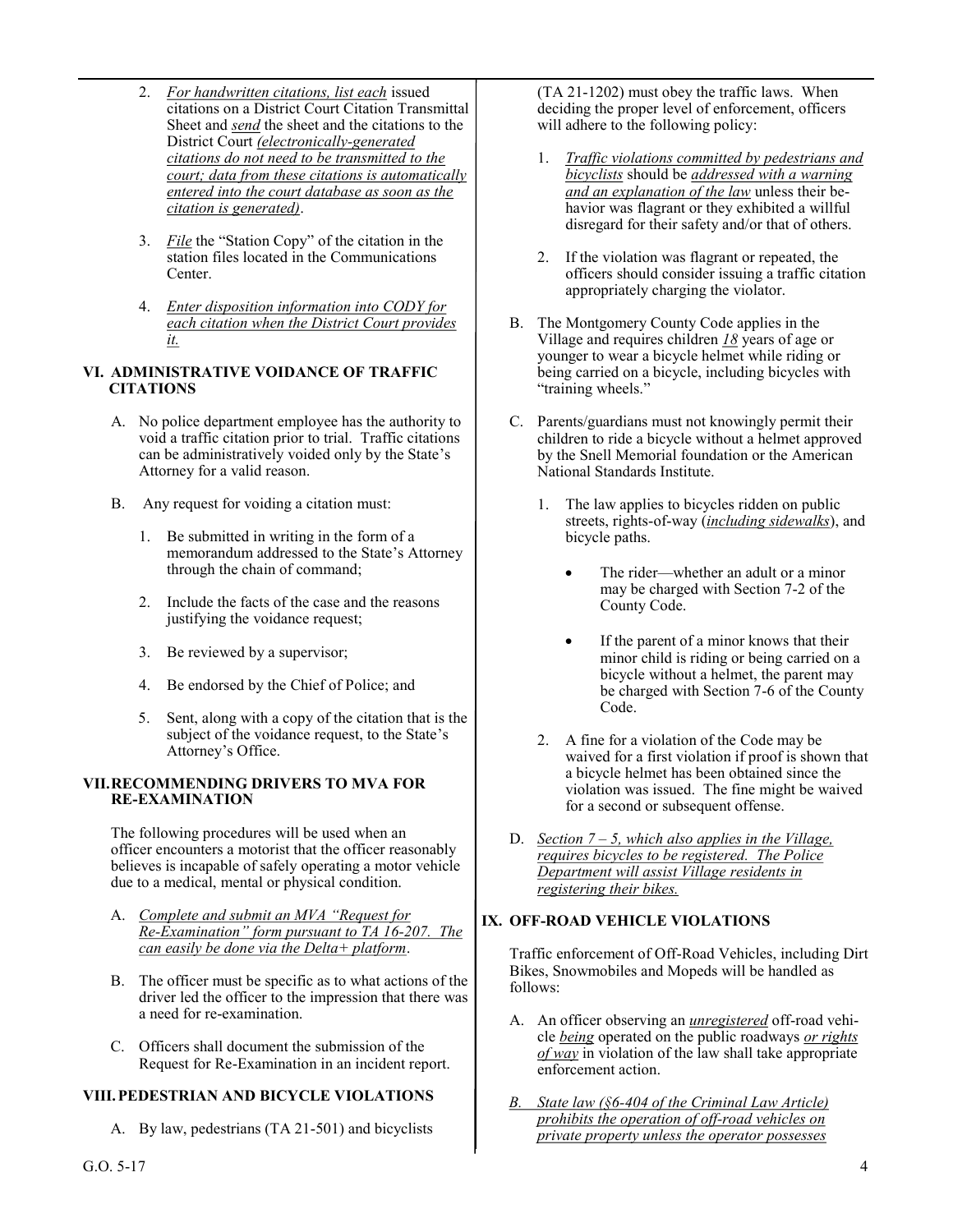- 2. *For handwritten citations, list each* issued citations on a District Court Citation Transmittal Sheet and *send* the sheet and the citations to the District Court *(electronically-generated citations do not need to be transmitted to the court; data from these citations is automatically entered into the court database as soon as the citation is generated)*.
- 3. *File* the "Station Copy" of the citation in the station files located in the Communications Center.
- 4. *Enter disposition information into CODY for each citation when the District Court provides it.*

### **VI. ADMINISTRATIVE VOIDANCE OF TRAFFIC CITATIONS**

- A. No police department employee has the authority to void a traffic citation prior to trial. Traffic citations can be administratively voided only by the State's Attorney for a valid reason.
- B. Any request for voiding a citation must:
	- 1. Be submitted in writing in the form of a memorandum addressed to the State's Attorney through the chain of command;
	- 2. Include the facts of the case and the reasons justifying the voidance request;
	- 3. Be reviewed by a supervisor;
	- 4. Be endorsed by the Chief of Police; and
	- 5. Sent, along with a copy of the citation that is the subject of the voidance request, to the State's Attorney's Office.

#### **VII.RECOMMENDING DRIVERS TO MVA FOR RE-EXAMINATION**

The following procedures will be used when an officer encounters a motorist that the officer reasonably believes is incapable of safely operating a motor vehicle due to a medical, mental or physical condition.

- A. *Complete and submit an MVA "Request for Re-Examination" form pursuant to TA 16-207. The can easily be done via the Delta+ platform*.
- B. The officer must be specific as to what actions of the driver led the officer to the impression that there was a need for re-examination.
- C. Officers shall document the submission of the Request for Re-Examination in an incident report.

## **VIII.PEDESTRIAN AND BICYCLE VIOLATIONS**

A. By law, pedestrians (TA 21-501) and bicyclists

(TA 21-1202) must obey the traffic laws. When deciding the proper level of enforcement, officers will adhere to the following policy:

- 1. *Traffic violations committed by pedestrians and bicyclists* should be *addressed with a warning and an explanation of the law* unless their behavior was flagrant or they exhibited a willful disregard for their safety and/or that of others.
- 2. If the violation was flagrant or repeated, the officers should consider issuing a traffic citation appropriately charging the violator.
- B. The Montgomery County Code applies in the Village and requires children *18* years of age or younger to wear a bicycle helmet while riding or being carried on a bicycle, including bicycles with "training wheels."
- C. Parents/guardians must not knowingly permit their children to ride a bicycle without a helmet approved by the Snell Memorial foundation or the American National Standards Institute.
	- 1. The law applies to bicycles ridden on public streets, rights-of-way (*including sidewalks*), and bicycle paths.
		- The rider—whether an adult or a minor may be charged with Section 7-2 of the County Code.
		- If the parent of a minor knows that their minor child is riding or being carried on a bicycle without a helmet, the parent may be charged with Section 7-6 of the County Code.
	- 2. A fine for a violation of the Code may be waived for a first violation if proof is shown that a bicycle helmet has been obtained since the violation was issued. The fine might be waived for a second or subsequent offense.
- D. *Section 7 – 5, which also applies in the Village, requires bicycles to be registered. The Police Department will assist Village residents in registering their bikes.*

## **IX. OFF-ROAD VEHICLE VIOLATIONS**

Traffic enforcement of Off-Road Vehicles, including Dirt Bikes, Snowmobiles and Mopeds will be handled as follows:

- A. An officer observing an *unregistered* off-road vehicle *being* operated on the public roadways *or rights of way* in violation of the law shall take appropriate enforcement action.
- *B. State law (§6-404 of the Criminal Law Article) prohibits the operation of off-road vehicles on private property unless the operator possesses*